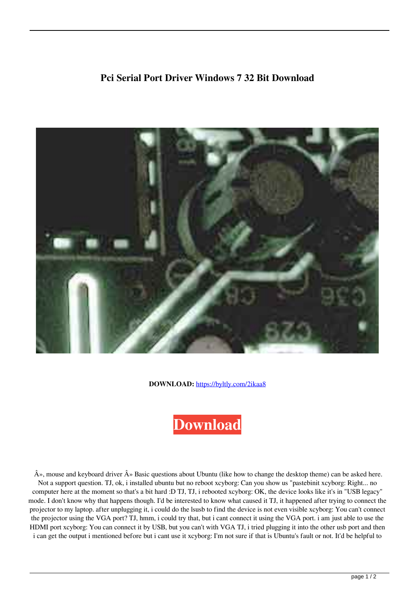## **Pci Serial Port Driver Windows 7 32 Bit Download**



**DOWNLOAD:** <https://byltly.com/2ikaa8>



 $\hat{A}$ », mouse and keyboard driver  $\hat{A}$ » Basic questions about Ubuntu (like how to change the desktop theme) can be asked here. Not a support question. TJ, ok, i installed ubuntu but no reboot xcyborg: Can you show us "pastebinit xcyborg: Right... no computer here at the moment so that's a bit hard :D TJ, TJ, i rebooted xcyborg: OK, the device looks like it's in "USB legacy" mode. I don't know why that happens though. I'd be interested to know what caused it TJ, it happened after trying to connect the projector to my laptop. after unplugging it, i could do the lsusb to find the device is not even visible xcyborg: You can't connect the projector using the VGA port? TJ, hmm, i could try that, but i cant connect it using the VGA port. i am just able to use the HDMI port xcyborg: You can connect it by USB, but you can't with VGA TJ, i tried plugging it into the other usb port and then i can get the output i mentioned before but i cant use it xcyborg: I'm not sure if that is Ubuntu's fault or not. It'd be helpful to